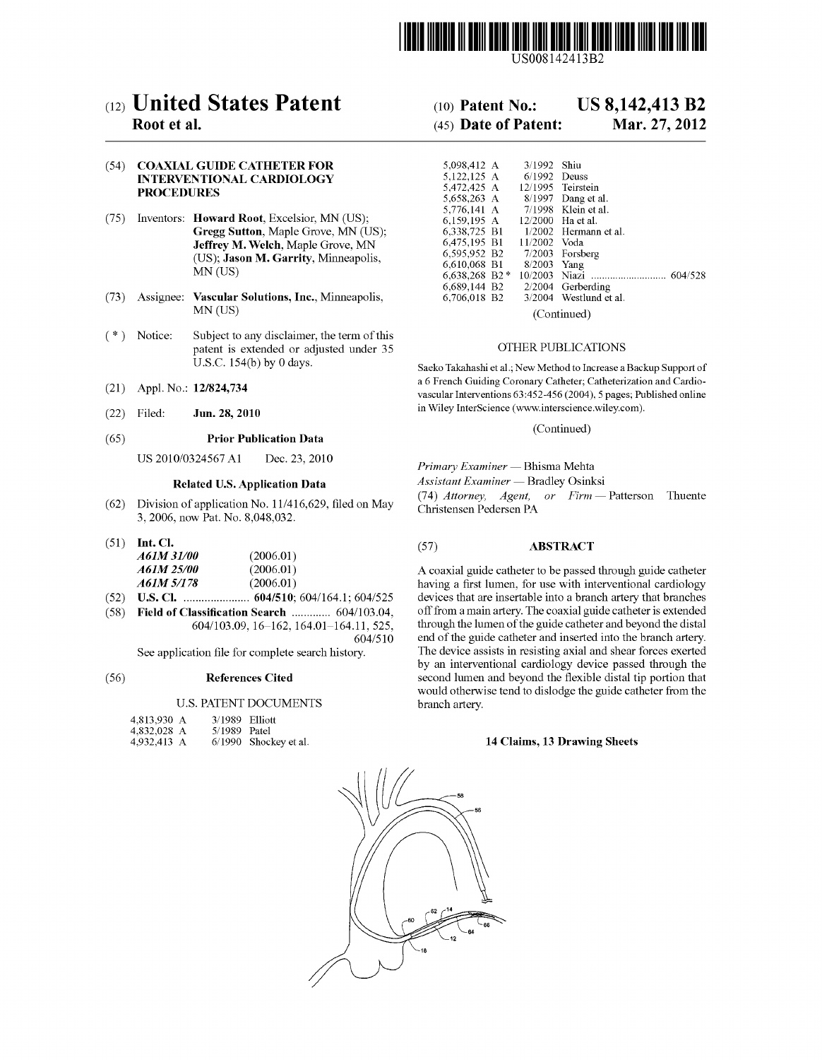

US008142413B2

# (12) United States Patent

# Root et al.

### (54) COAXIAL GUIDE CATHETER FOR **INTERVENTIONAL CARDIOLOGY PROCEDURES**

- (75) Inventors: Howard Root, Excelsior, MN (US); Gregg Sutton, Maple Grove, MN (US); Jeffrey M. Welch, Maple Grove, MN (US); Jason M. Garrity, Minneapolis,  $MN$  (US)
- Assignee: Vascular Solutions, Inc., Minneapolis,  $(73)$ MN (US)
- $(* )$ Notice: Subject to any disclaimer, the term of this patent is extended or adjusted under 35 U.S.C. 154(b) by 0 days.
- (21) Appl. No.: 12/824,734
- $(22)$ Filed: Jun. 28, 2010

#### $(65)$ **Prior Publication Data**

US 2010/0324567 A1 Dec. 23, 2010

### **Related U.S. Application Data**

- (62) Division of application No. 11/416,629, filed on May 3, 2006, now Pat. No. 8,048,032.
- $(51)$  Int. Cl.

| <i>A61M 31/00</i> | (2006.01) |
|-------------------|-----------|
| <i>A61M 25/00</i> | (2006.01) |
| A61M 5/178        | (2006.01) |

- 
- $(58)$ Field of Classification Search .............. 604/103.04, 604/103.09, 16-162, 164.01-164.11, 525, 604/510

See application file for complete search history.

#### $(56)$ **References Cited**

### **U.S. PATENT DOCUMENTS**

| 4,813,930 A | 3/1989 Elliott |                      |
|-------------|----------------|----------------------|
| 4,832,028 A | 5/1989 Patel   |                      |
| 4,932,413 A |                | 6/1990 Shockey et al |

#### **US 8,142,413 B2**  $(10)$  Patent No.:

#### (45) Date of Patent: Mar. 27, 2012

| 5,098,412 A    | 3/1992  | Shiu                    |         |
|----------------|---------|-------------------------|---------|
| 5.122.125 A    | 6/1992  | Deuss                   |         |
| 5,472,425 A    | 12/1995 | Teirstein               |         |
| 5,658,263 A    |         | 8/1997 Dang et al.      |         |
| 5.776.141 A    |         | $7/1998$ Klein et al.   |         |
| 6.159.195 A    |         | 12/2000 Ha et al.       |         |
| 6,338,725 B1   |         | $1/2002$ Hermann et al. |         |
| 6,475,195 B1   | 11/2002 | Voda                    |         |
| 6,595,952 B2   |         | $7/2003$ Forsberg       |         |
| 6,610,068 B1   | 8/2003  | Yang                    |         |
| 6,638,268 B2 * | 10/2003 |                         | 604/528 |
| 6,689,144 B2   |         | $2/2004$ Gerberding     |         |
| 6,706,018 B2   |         | 3/2004 Westlund et al.  |         |
|                |         |                         |         |

(Continued)

### OTHER PUBLICATIONS

Saeko Takahashi et al.; New Method to Increase a Backup Support of a 6 French Guiding Coronary Catheter; Catheterization and Cardiovascular Interventions 63:452-456 (2004), 5 pages; Published online in Wiley InterScience (www.interscience.wiley.com).

(Continued)

Primary Examiner - Bhisma Mehta

Assistant Examiner - Bradley Osinksi

(74) Attorney, Agent, or Firm - Patterson Thuente Christensen Pedersen PA

#### $(57)$ **ABSTRACT**

A coaxial guide catheter to be passed through guide catheter having a first lumen, for use with interventional cardiology devices that are insertable into a branch artery that branches off from a main artery. The coaxial guide catheter is extended through the lumen of the guide catheter and beyond the distal end of the guide catheter and inserted into the branch artery. The device assists in resisting axial and shear forces exerted by an interventional cardiology device passed through the second lumen and beyond the flexible distal tip portion that would otherwise tend to dislodge the guide catheter from the branch artery.

### 14 Claims, 13 Drawing Sheets

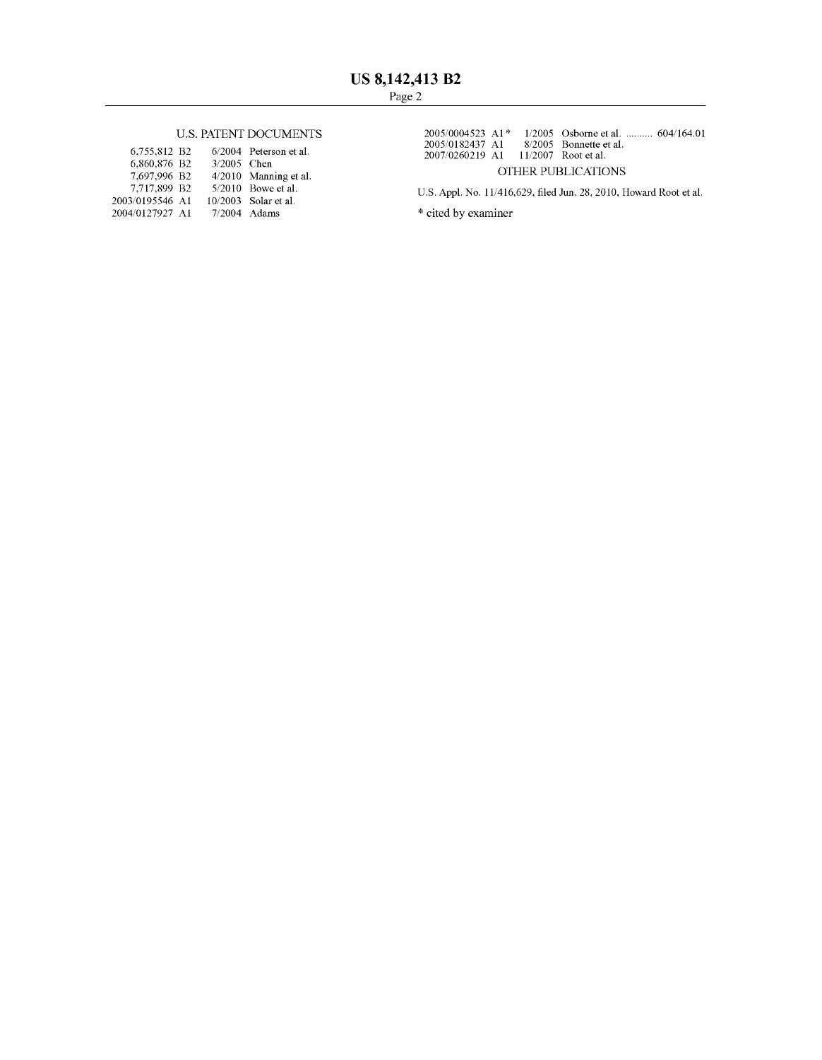# U.S. PATENT DOCUMENTS

| 6,755,812 B2    |              | 6/2004 Peterson et al.  |
|-----------------|--------------|-------------------------|
| 6,860,876 B2    | 3/2005 Chen  |                         |
| 7,697,996 B2    |              | $4/2010$ Manning et al. |
| 7,717,899 B2    |              | 5/2010 Bowe et al.      |
| 2003/0195546 A1 |              | 10/2003 Solar et al.    |
| 2004/0127927 A1 | 7/2004 Adams |                         |

2005/0004523 A1\* 1/2005 Osborne et al. ........ .. 604/164.01 2005/0182437 A1 8/2005 Bonnette et a1. 2007/0260219 A1 11/2007 Root et al. OTHER PUBLICATIONS

U.S. Appl. No. 11/416,629, filed Jun. 28, 2010, Howard Root et al.

\* cited by examiner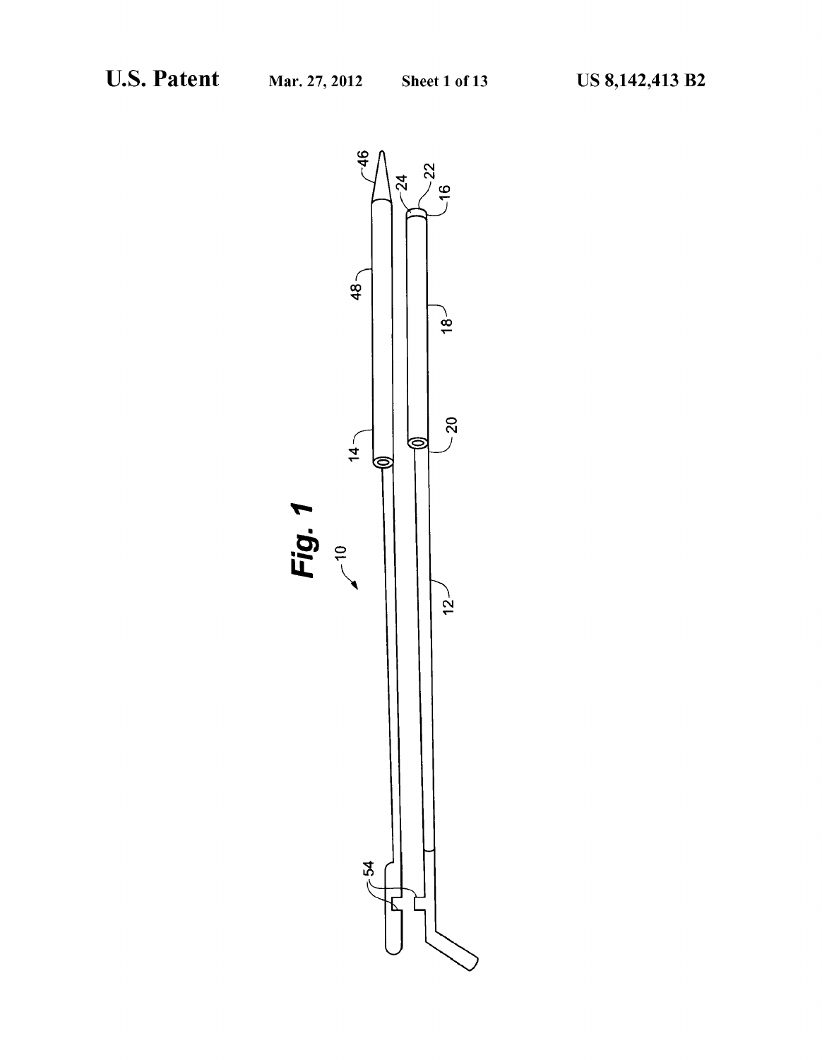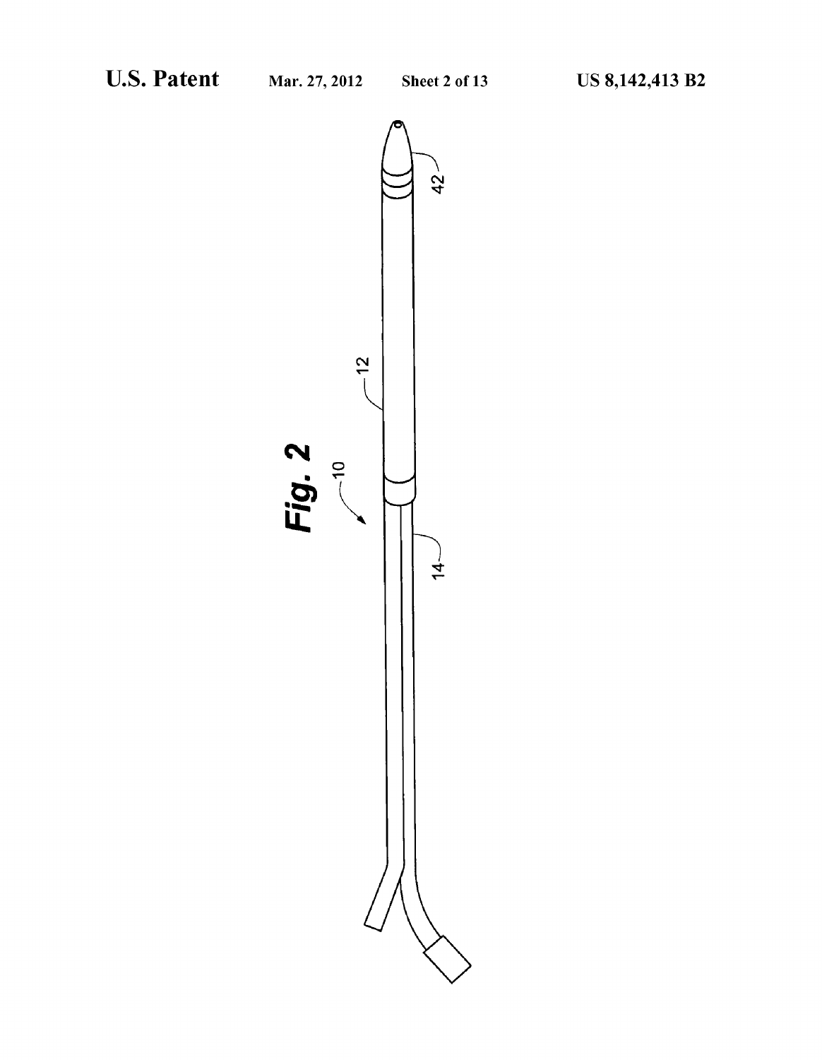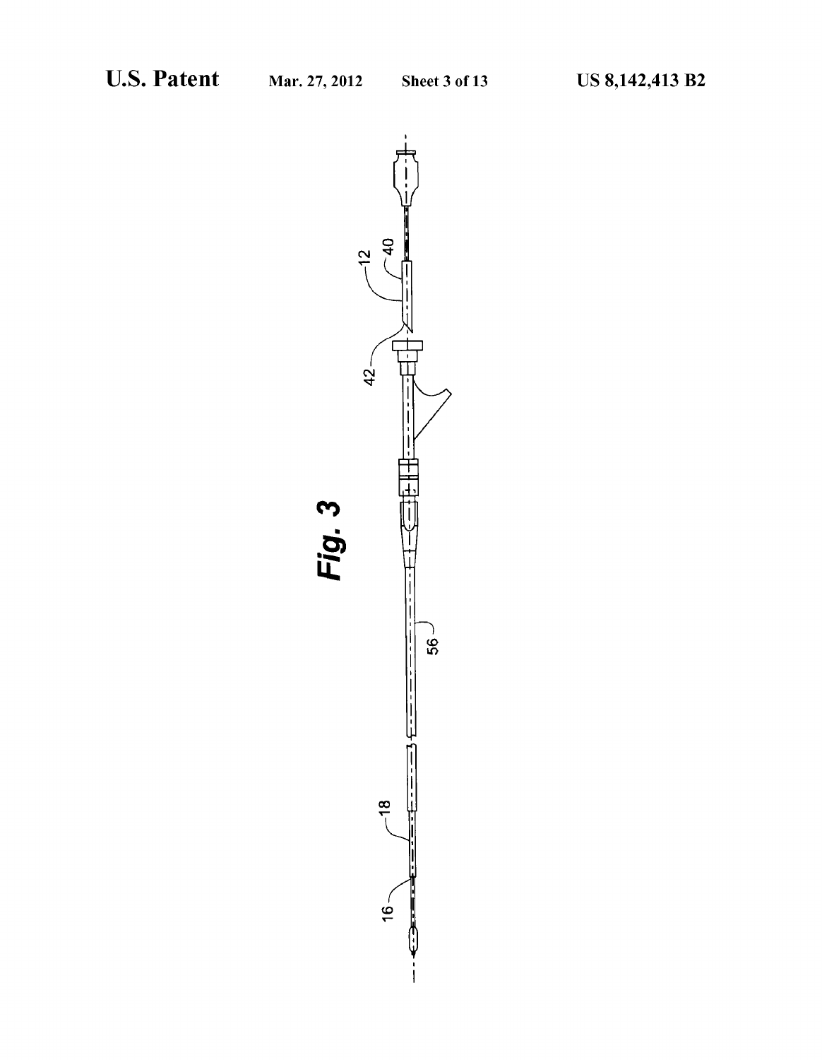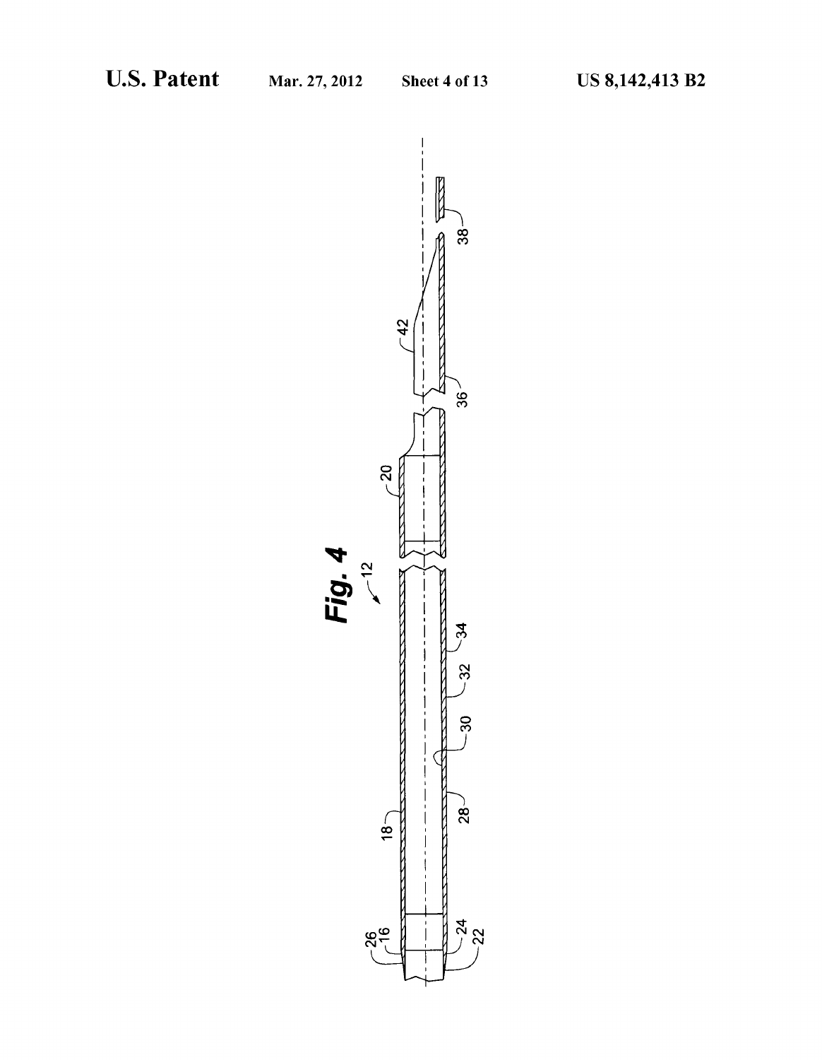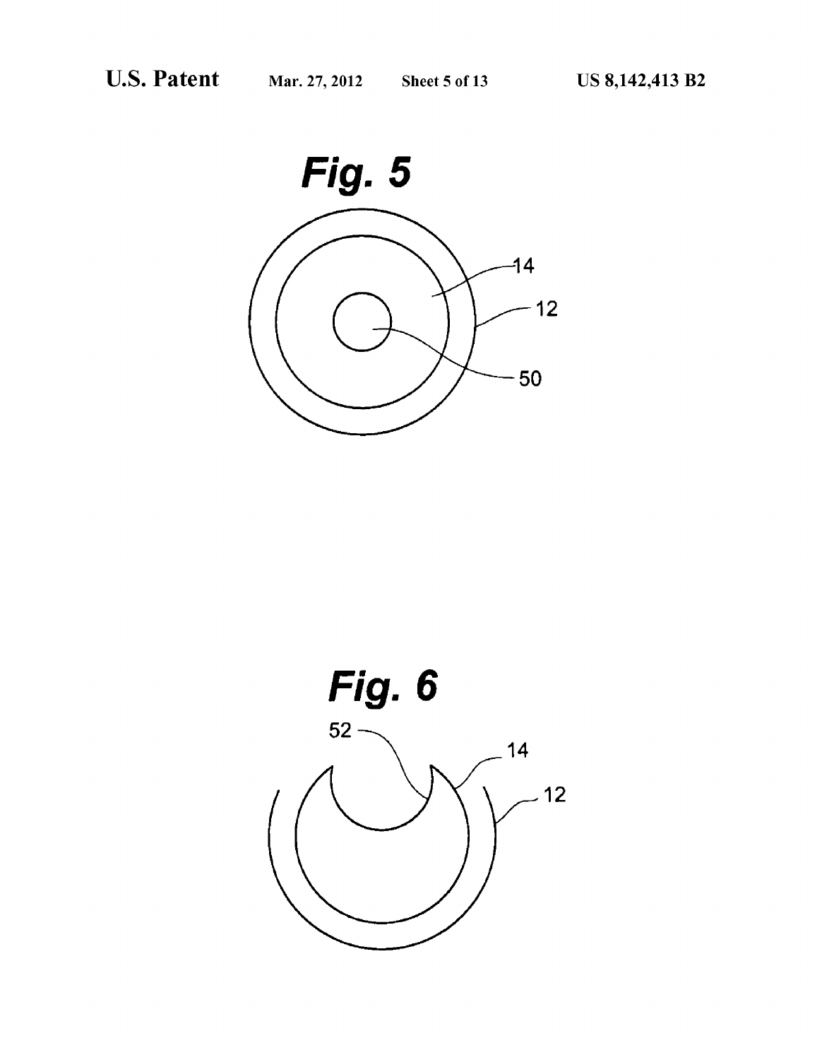

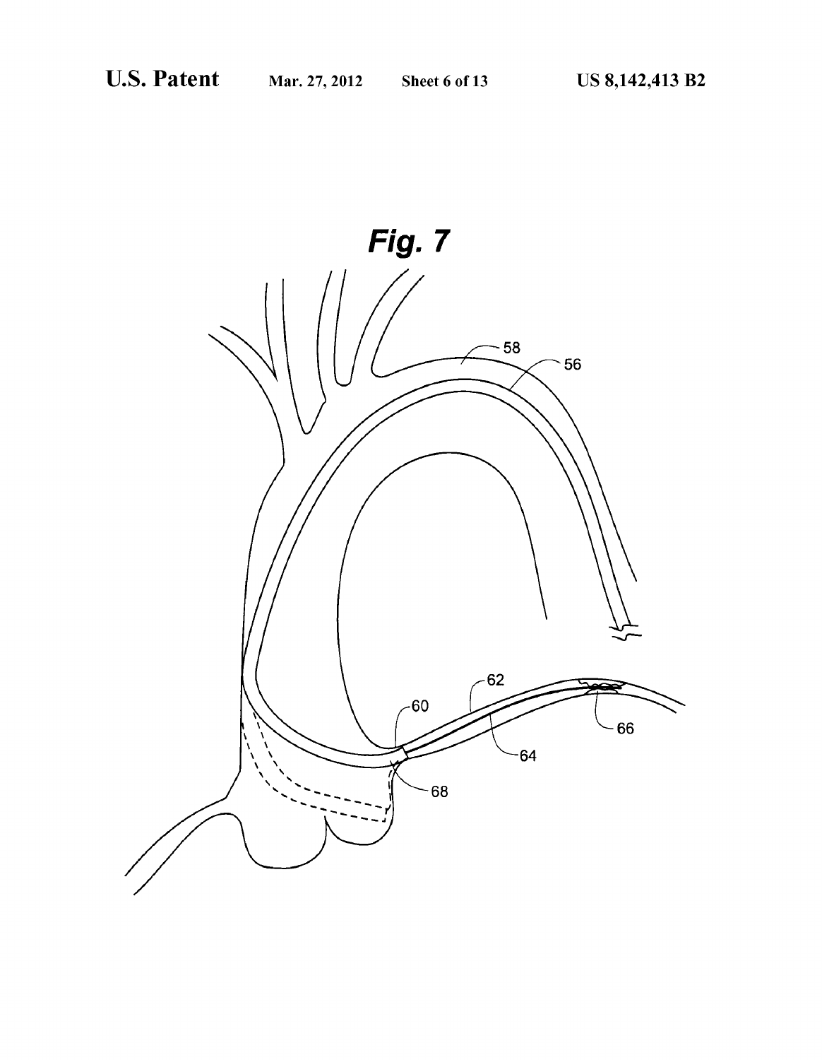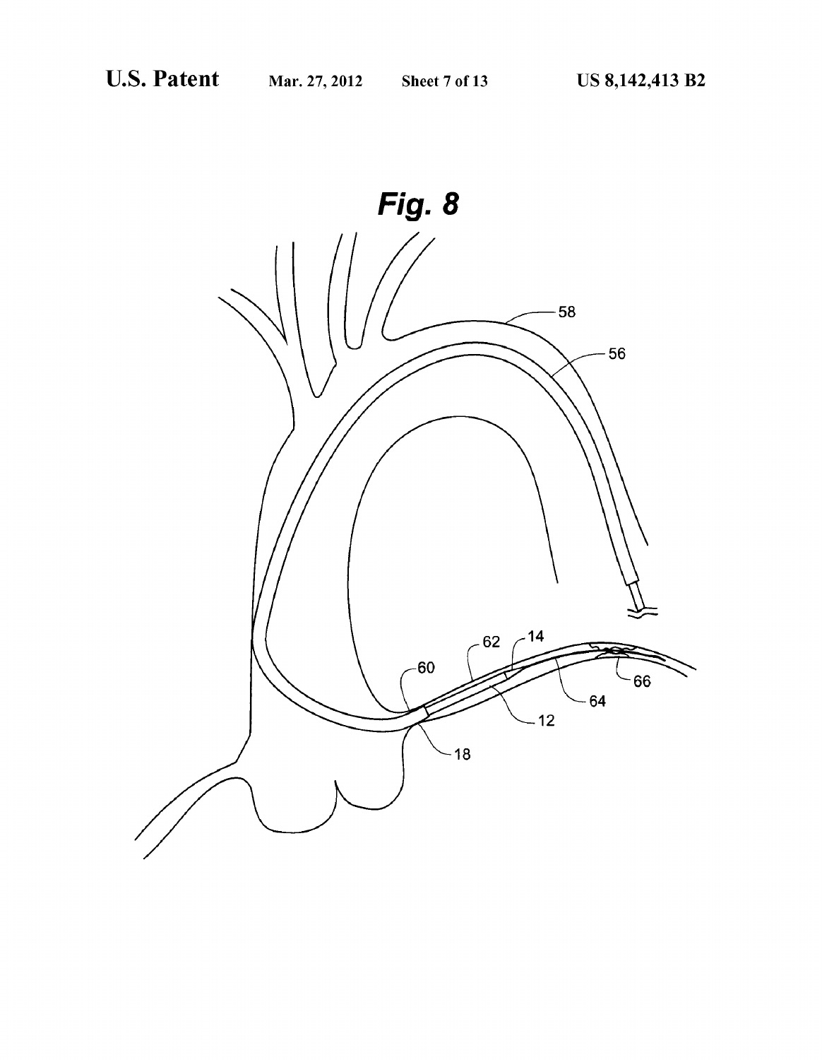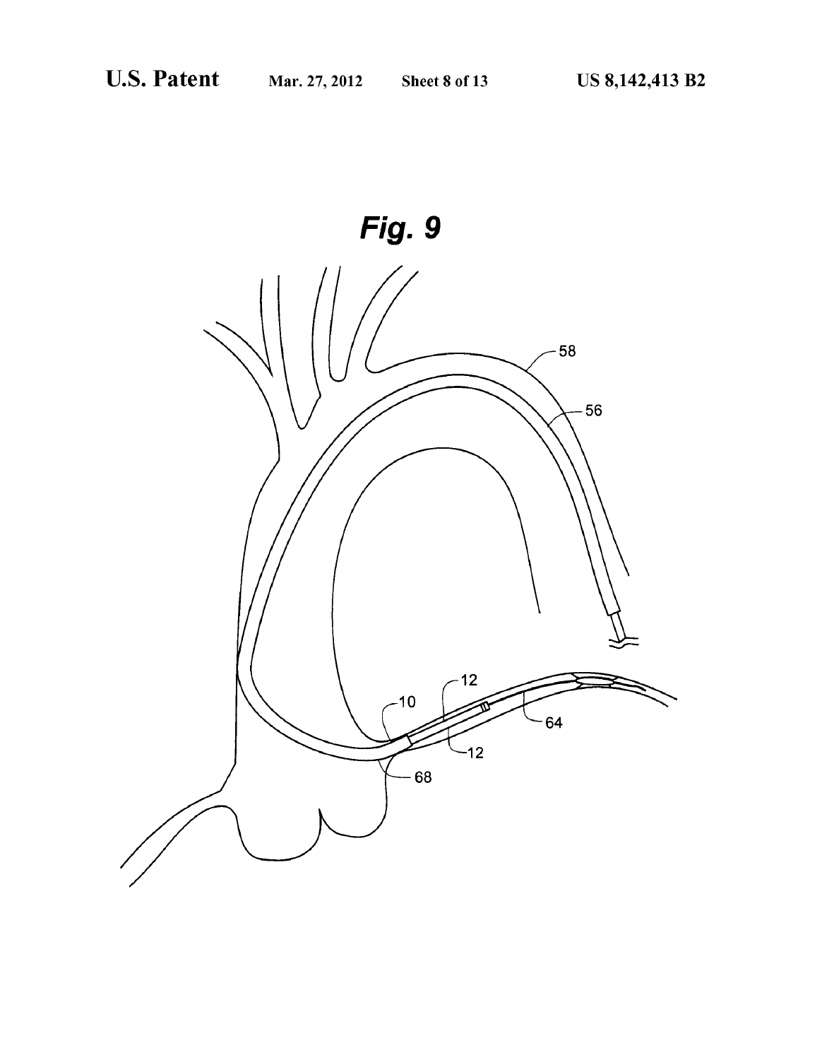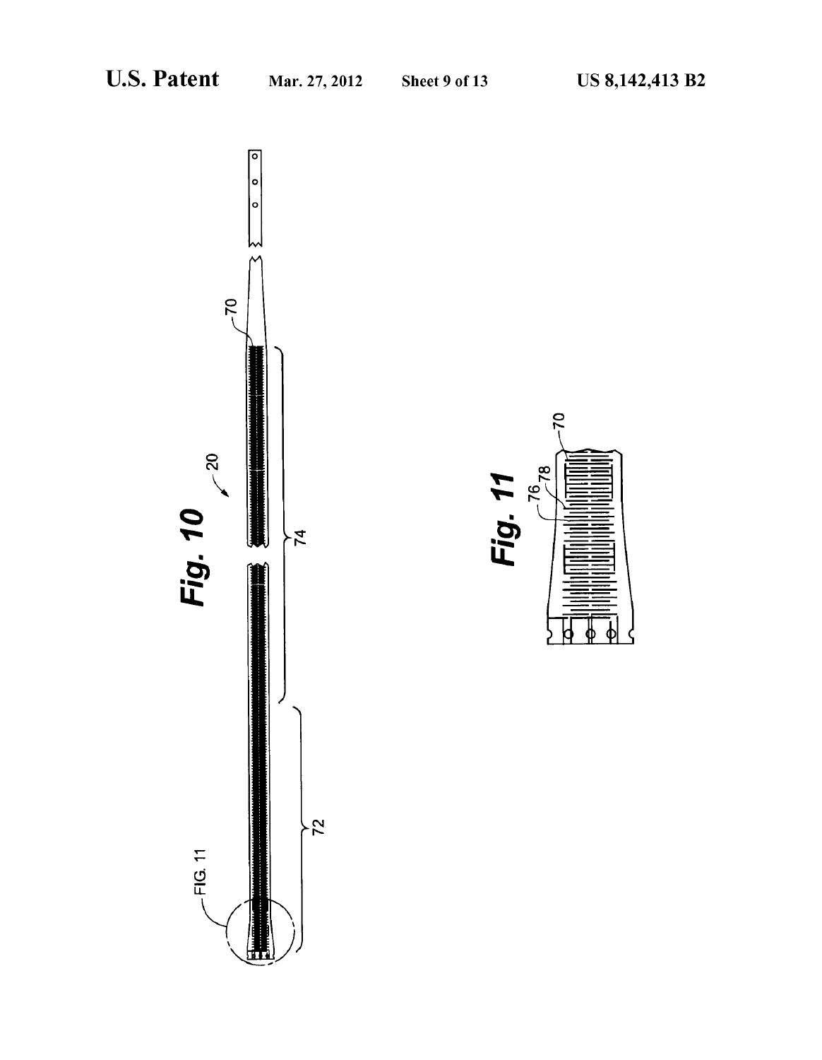

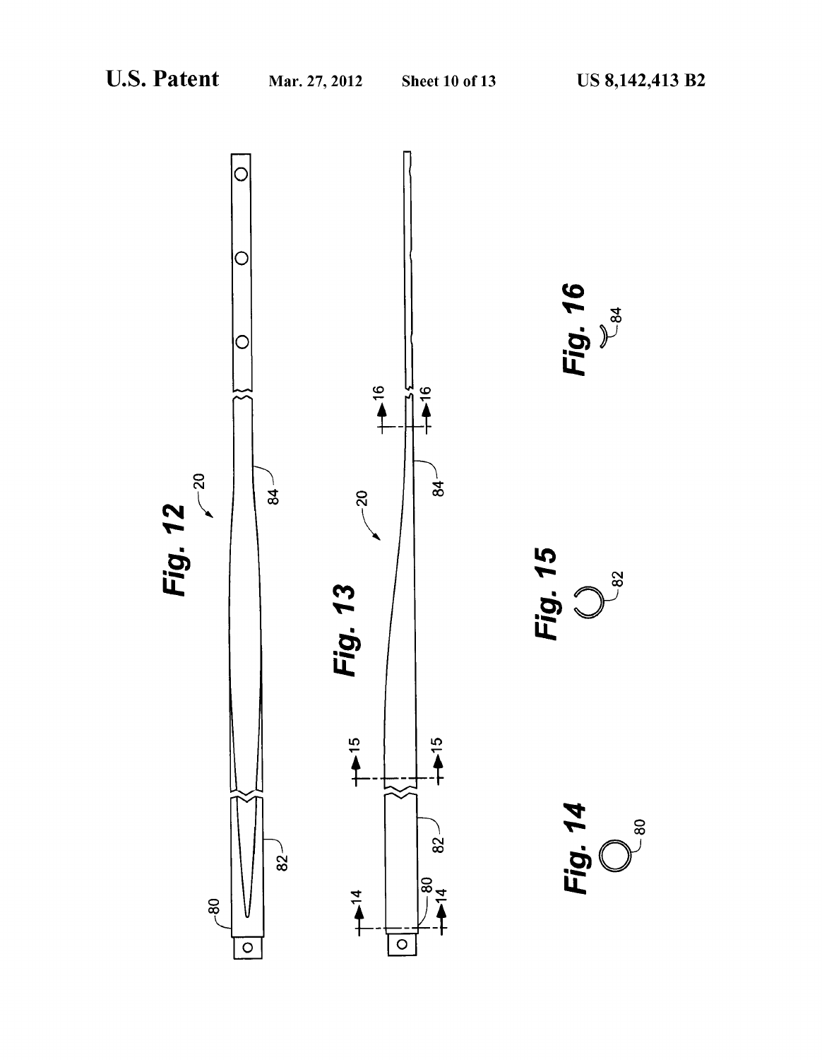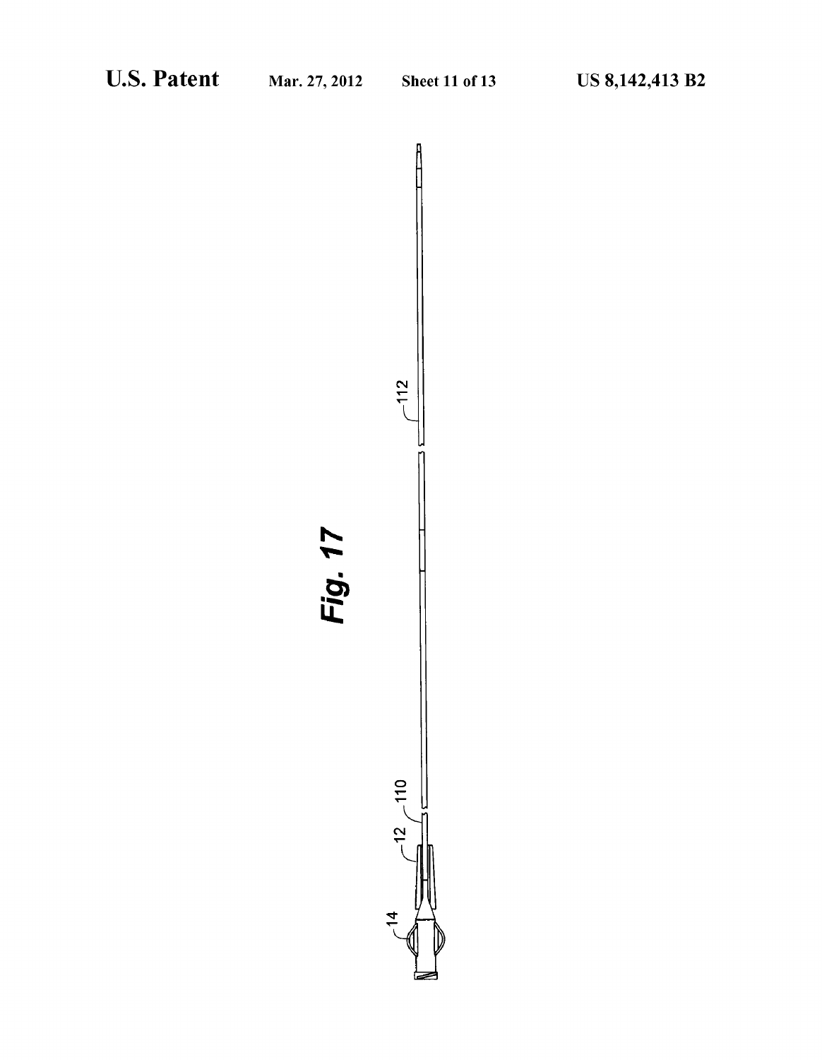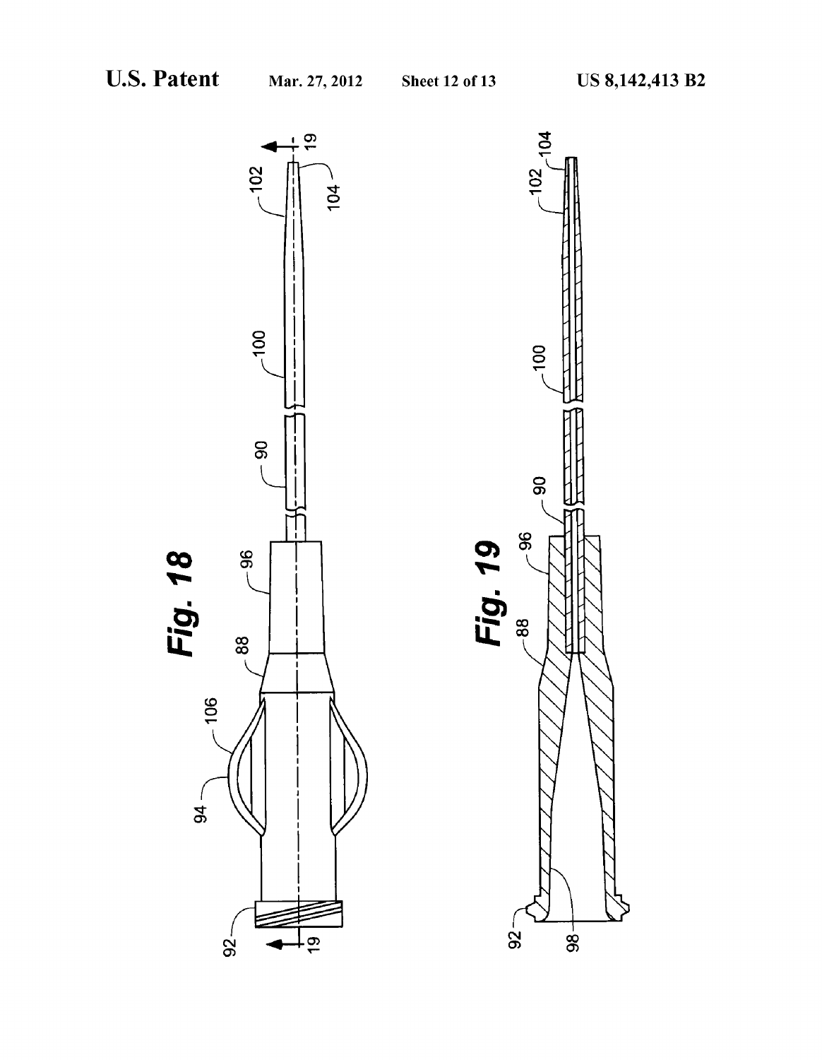

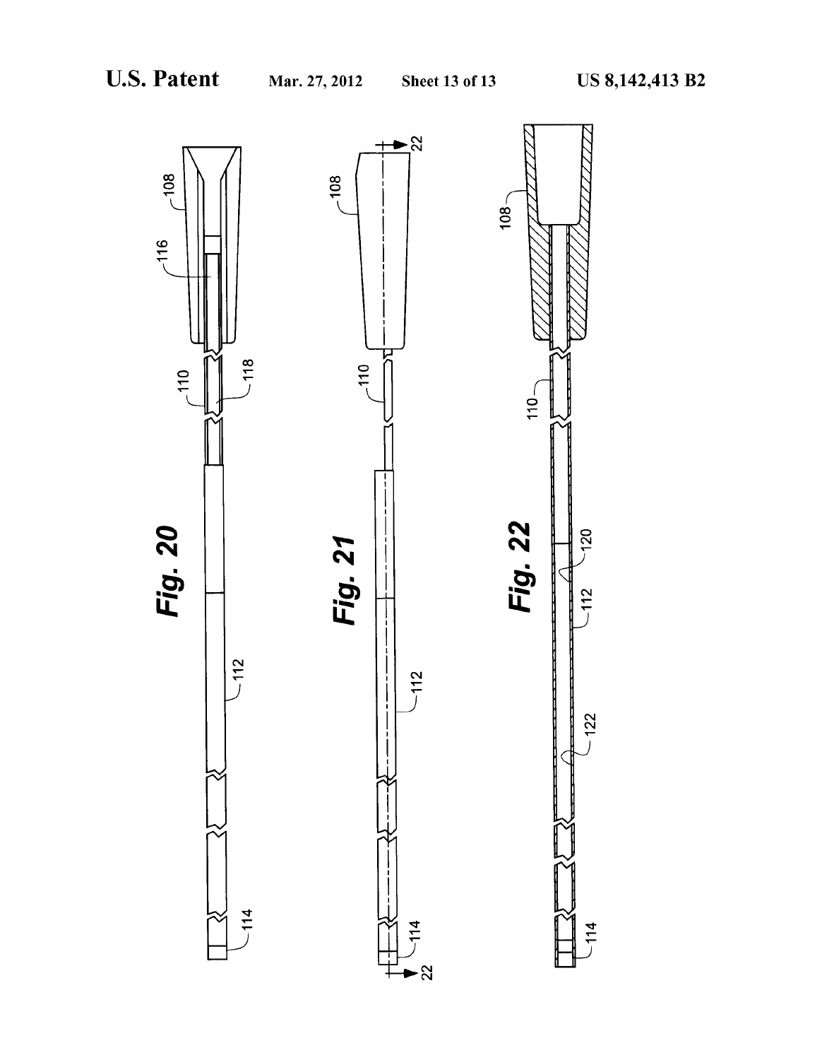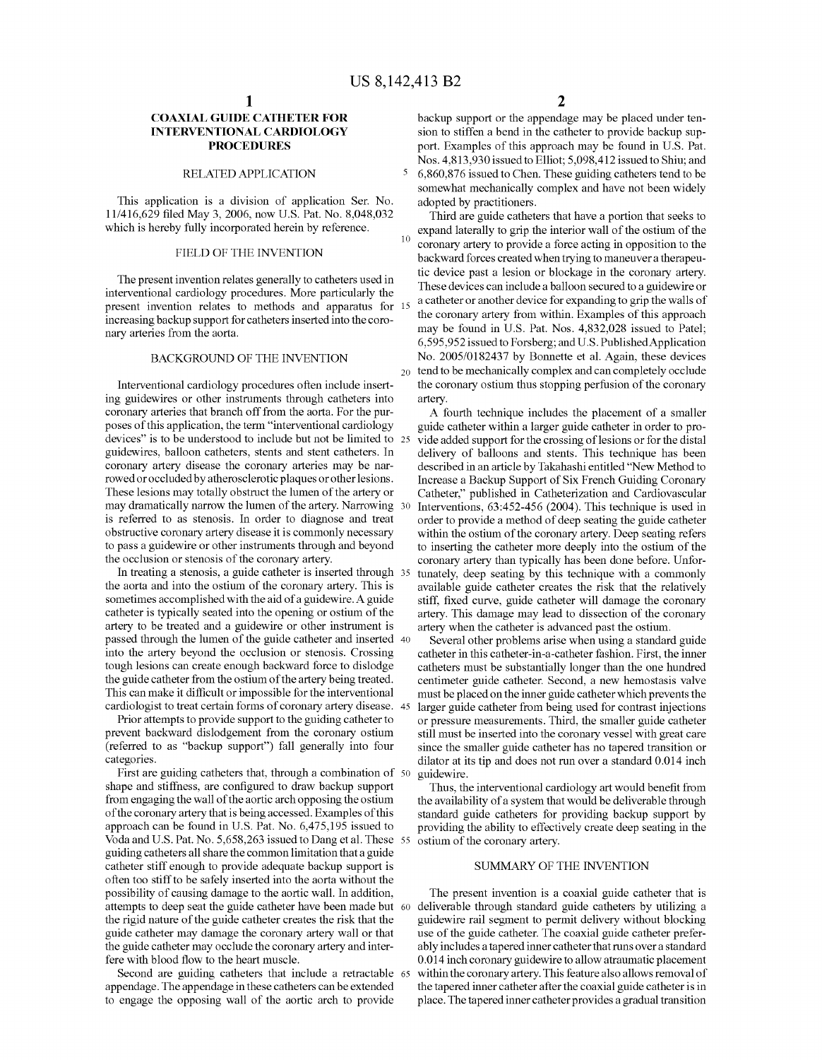5

# COAXIAL GUIDE CATHETER FOR INTERVENTIONAL CARDIOLOGY PROCEDURES

### RELATED APPLICATION

This application is a division of application Ser. No. 11/416,629 filed May 3, 2006, now U.S. Pat. No. 8,048,032 Which is hereby fully incorporated herein by reference.

# FIELD OF THE INVENTION

The present invention relates generally to catheters used in interventional cardiology procedures. More particularly the present invention relates to methods and apparatus for 15 increasing backup support for catheters inserted into the coro nary arteries from the aorta.

### BACKGROUND OF THE INVENTION

Interventional cardiology procedures often include insert ing guideWires or other instruments through catheters into coronary arteries that branch off from the aorta. For the pur poses of this application, the term "interventional cardiology devices" is to be understood to include but not be limited to 25 guideWires, balloon catheters, stents and stent catheters. In coronary artery disease the coronary arteries may be nar rowed or occluded by atherosclerotic plaques or other lesions. These lesions may totally obstruct the lumen of the artery or may dramatically narroW the lumen of the artery. NarroWing 30 is referred to as stenosis. In order to diagnose and treat obstructive coronary artery disease it is commonly necessary to pass a guideWire or other instruments through and beyond the occlusion or stenosis of the coronary artery.

In treating a stenosis, a guide catheter is inserted through 35 the aorta and into the ostium of the coronary artery. This is sometimes accomplished with the aid of a guidewire. A guide catheter is typically seated into the opening or ostium of the artery to be treated and a guideWire or other instrument is passed through the lumen of the guide catheter and inserted 40 into the artery beyond the occlusion or stenosis. Crossing tough lesions can create enough backWard force to dislodge the guide catheter from the ostium of the artery being treated. This can make it difficult or impossible for the interventional cardiologist to treat certain forms of coronary artery disease. 45

Prior attempts to provide support to the guiding catheter to prevent backward dislodgement from the coronary ostium (referred to as "backup support") fall generally into four categories.

First are guiding catheters that, through a combination of 50 shape and stiffness, are configured to draw backup support from engaging the Wall of the aortic arch opposing the ostium of the coronary artery that is being accessed. Examples of this approach can be found in US. Pat. No. 6,475,195 issued to Voda and U.S. Pat. No. 5,658,263 issued to Dang et al. These 55 guiding catheters all share the common limitation that a guide catheter stiff enough to provide adequate backup support is often too stiff to be safely inserted into the aorta Without the possibility of causing damage to the aortic Wall. In addition, attempts to deep seat the guide catheter have been made but 60 the rigid nature of the guide catheter creates the risk that the guide catheter may damage the coronary artery Wall or that the guide catheter may occlude the coronary artery and inter fere With blood How to the heart muscle.

Second are guiding catheters that include a retractable 65 appendage. The appendage in these catheters can be extended to engage the opposing Wall of the aortic arch to provide

backup support or the appendage may be placed under ten sion to stiffen a bend in the catheter to provide backup sup port. Examples of this approach may be found in US. Pat. Nos. 4,813,930 issued to Elliot; 5,098,412 issued to Shiu; and 6,860,876 issued to Chen. These guiding catheters tend to be

somewhat mechanically complex and have not been widely adopted by practitioners.

20 tend to be mechanically complex and can completely occlude Third are guide catheters that have a portion that seeks to expand laterally to grip the interior Wall of the ostium of the coronary artery to provide a force acting in opposition to the backWard forces created When trying to maneuver a therapeu tic device past a lesion or blockage in the coronary artery. These devices can include a balloon secured to a guidewire or a catheter or another device for expanding to grip the Walls of the coronary artery from Within. Examples of this approach may be found in US. Pat. Nos. 4,832,028 issued to Patel; 6,5 95,952 issued to Forsberg; and US. PublishedApplication No. 2005/0182437 by Bonnette et al. Again, these devices the coronary ostium thus stopping perfusion of the coronary artery.

A fourth technique includes the placement of a smaller guide catheter Within a larger guide catheter in order to pro vide added support for the crossing of lesions or for the distal delivery of balloons and stents. This technique has been described in an article by Takahashi entitled "NeW Method to Increase a Backup Support of Six French Guiding Coronary Catheter," published in Catheterization and Cardiovascular Interventions, 63:452-456 (2004). This technique is used in order to provide a method of deep seating the guide catheter within the ostium of the coronary artery. Deep seating refers to inserting the catheter more deeply into the ostium of the coronary artery than typically has been done before. Unfor tunately, deep seating by this technique With a commonly available guide catheter creates the risk that the relatively stiff, fixed curve, guide catheter will damage the coronary artery. This damage may lead to dissection of the coronary artery When the catheter is advanced past the ostium.

Several other problems arise When using a standard guide catheter in this catheter-in-a-catheter fashion. First, the inner catheters must be substantially longer than the one hundred centimeter guide catheter. Second, a neW hemostasis valve must be placed on the inner guide catheter Which prevents the larger guide catheter from being used for contrast injections or pressure measurements. Third, the smaller guide catheter still must be inserted into the coronary vessel With great care since the smaller guide catheter has no tapered transition or dilator at its tip and does not run over a standard 0.014 inch guideWire.

Thus, the interventional cardiology art would benefit from the availability of a system that Would be deliverable through standard guide catheters for providing backup support by providing the ability to effectively create deep seating in the ostium of the coronary artery.

### SUMMARY OF THE INVENTION

The present invention is a coaxial guide catheter that is deliverable through standard guide catheters by utilizing a guideWire rail segment to permit delivery Without blocking use of the guide catheter. The coaxial guide catheter prefer ably includes a tapered inner catheter that runs over a standard 0.014 inch coronary guidewire to allow atraumatic placement within the coronary artery. This feature also allows removal of the tapered inner catheter after the coaxial guide catheter is in place. The tapered inner catheter provides a gradual transition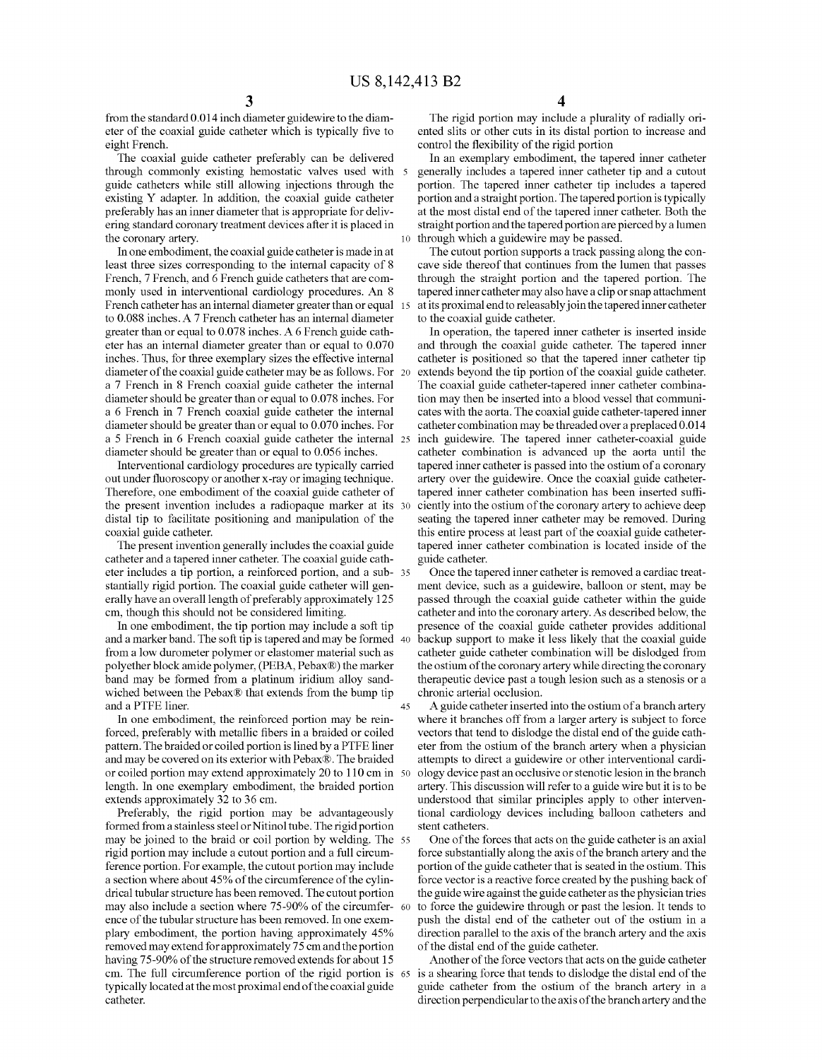$10$ 

from the standard 0.014 inch diameter guidewire to the diameter of the coaxial guide catheter which is typically five to eight French.

The coaxial guide catheter preferably can be delivered through commonly existing hemostatic valves used with 5 guide catheters While still alloWing injections through the existing Y adapter. In addition, the coaxial guide catheter preferably has an inner diameter that is appropriate for deliv ering standard coronary treatment devices after it is placed in the coronary artery.

In one embodiment, the coaxial guide catheter is made in at least three sizes corresponding to the internal capacity of 8 French, 7 French, and 6 French guide catheters that are com monly used in interventional cardiology procedures. An 8 French catheter has an internal diameter greater than or equal 15 to 0.088 inches. A 7 French catheter has an internal diameter greater than or equal to 0.078 inches. A 6 French guide cath eter has an internal diameter greater than or equal to 0.070 inches. Thus, for three exemplary sizes the effective internal diameter of the coaxial guide catheter may be as follows. For 20 a 7 French in 8 French coaxial guide catheter the internal diameter should be greater than or equal to 0.078 inches. For a 6 French in 7 French coaxial guide catheter the internal diameter should be greater than or equal to 0.070 inches. For a 5 French in 6 French coaxial guide catheter the internal 25 diameter should be greater than or equal to 0.056 inches.

Interventional cardiology procedures are typically carried out under fluoroscopy or another x-ray or imaging technique. Therefore, one embodiment of the coaxial guide catheter of the present invention includes a radiopaque marker at its 30 distal tip to facilitate positioning and manipulation of the coaxial guide catheter.

The present invention generally includes the coaxial guide catheter and a tapered inner catheter. The coaxial guide cath eter includes a tip portion, a reinforced portion, and a sub- 35 stantially rigid portion. The coaxial guide catheter Will gen erally have an overall length of preferably approximately 125 cm, though this should not be considered limiting.

In one embodiment, the tip portion may include a soft tip and a marker band. The soft tip is tapered and may be formed 40 from a loW durometer polymer or elastomer material such as polyether block amide polymer, (PEBA, Pebax®) the marker band may be formed from a platinum iridium alloy sand wiched between the Pebax® that extends from the bump tip and a PTFE liner. 45

In one embodiment, the reinforced portion may be rein forced, preferably with metallic fibers in a braided or coiled pattern. The braided or coiled portion is lined by a PTFE liner and may be covered on its exterior With Pebax®. The braided or coiled portion may extend approximately 20 to 110 cm in 50 length. In one exemplary embodiment, the braided portion extends approximately 32 to 36 cm.

Preferably, the rigid portion may be advantageously formed from a stainless steel or Nitinol tube. The rigid portion may be joined to the braid or coil portion by Welding. The 55 rigid portion may include a cutout portion and a full circum ference portion. For example, the cutout portion may include a section Where about 45% of the circumference of the cylin drical tubular structure has been removed. The cutout portion may also include a section Where 75-90% of the circumfer 60 ence of the tubular structure has been removed. In one exem plary embodiment, the portion having approximately 45% removed may extend for approximately 75 cm and the portion having 75-90% of the structure removed extends for about 15 cm. The full circumference portion of the rigid portion is 65 typically located at the most proximal end of the coaxial guide catheter.

The rigid portion may include a plurality of radially ori ented slits or other cuts in its distal portion to increase and control the flexibility of the rigid portion

In an exemplary embodiment, the tapered inner catheter generally includes a tapered inner catheter tip and a cutout portion. The tapered inner catheter tip includes a tapered portion and a straight portion. The tapered portion is typically at the most distal end of the tapered inner catheter. Both the straight portion and the tapered portion are pierced by a lumen through Which a guideWire may be passed.

The cutout portion supports a track passing along the con cave side thereof that continues from the lumen that passes through the straight portion and the tapered portion. The tapered inner catheter may also have a clip or snap attachment at its proximal end to releasably join the tapered inner catheter to the coaxial guide catheter.

In operation, the tapered inner catheter is inserted inside and through the coaxial guide catheter. The tapered inner catheter is positioned so that the tapered inner catheter tip extends beyond the tip portion of the coaxial guide catheter. The coaxial guide catheter-tapered inner catheter combina tion may then be inserted into a blood vessel that communi cates With the aorta. The coaxial guide catheter-tapered inner catheter combination may be threaded over a preplaced 0.014 inch guideWire. The tapered inner catheter-coaxial guide catheter combination is advanced up the aorta until the tapered inner catheter is passed into the ostium of a coronary artery over the guidewire. Once the coaxial guide cathetertapered inner catheter combination has been inserted sufficiently into the ostium of the coronary artery to achieve deep seating the tapered inner catheter may be removed. During this entire process at least part of the coaxial guide catheter tapered inner catheter combination is located inside of the guide catheter.

Once the tapered inner catheter is removed a cardiac treat ment device, such as a guideWire, balloon or stent, may be passed through the coaxial guide catheter Within the guide catheter and into the coronary artery. As described beloW, the presence of the coaxial guide catheter provides additional backup support to make it less likely that the coaxial guide catheter guide catheter combination Will be dislodged from the ostium of the coronary artery While directing the coronary therapeutic device past a tough lesion such as a stenosis or a chronic arterial occlusion.

A guide catheter inserted into the ostium of a branch artery Where it branches off from a larger artery is subject to force vectors that tend to dislodge the distal end of the guide cath eter from the ostium of the branch artery When a physician attempts to direct a guidewire or other interventional cardiology device past an occlusive or stenotic lesion in the branch artery. This discussion Will refer to a guide Wire but it is to be understood that similar principles apply to other interven tional cardiology devices including balloon catheters and stent catheters.

One of the forces that acts on the guide catheter is an axial force substantially along the axis of the branch artery and the portion of the guide catheter that is seated in the ostium. This force vector is a reactive force created by the pushing back of the guide Wire against the guide catheter as the physician tries to force the guideWire through or past the lesion. It tends to push the distal end of the catheter out of the ostium in a direction parallel to the axis of the branch artery and the axis of the distal end of the guide catheter.

Another of the force vectors that acts on the guide catheter is a shearing force that tends to dislodge the distal end of the guide catheter from the ostium of the branch artery in a direction perpendicular to the axis of the branch artery and the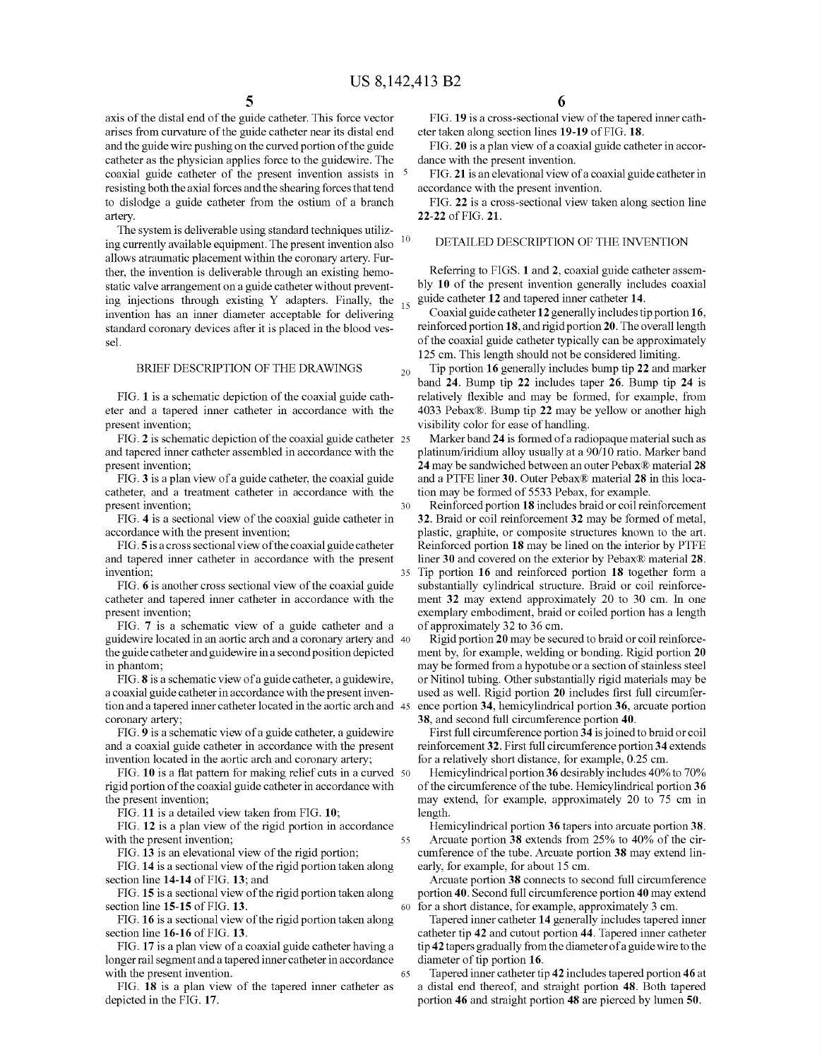$10$ 

20

 $30$ 

35

65

axis of the distal end of the guide catheter. This force vector arises from curvature of the guide catheter near its distal end and the guide wire pushing on the curved portion of the guide catheter as the physician applies force to the guidewire. The coaxial guide catheter of the present invention assists in <sup>5</sup> resisting both the axial forces and the shearing forces that tend to dislodge a guide catheter from the ostium of a branch artery.

The system is deliverable using standard techniques utilizing currently available equipment. The present invention also allows atraumatic placement within the coronary artery. Further, the invention is deliverable through an existing hemostatic valve arrangement on a guide catheter without preventing injections through existing Y adapters. Finally, the  $_{15}$ invention has an inner diameter acceptable for delivering standard coronary devices after it is placed in the blood vessel.

## BRIEF DESCRIPTION OF THE DRAWINGS

FIG. 1 is a schematic depiction of the coaxial guide catheter and a tapered inner catheter in accordance with the present invention;

FIG. 2 is schematic depiction of the coaxial guide catheter 25 and tapered inner catheter assembled in accordance with the present invention;

FIG. 3 is a plan view of a guide catheter, the coaxial guide catheter, and a treatment catheter in accordance with the present invention;

FIG. 4 is a sectional view of the coaxial guide catheter in accordance with the present invention;

FIG. 5 is a cross sectional view of the coaxial guide catheter and tapered inner catheter in accordance with the present invention;

FIG. 6 is another cross sectional view of the coaxial guide catheter and tapered inner catheter in accordance with the present invention:

FIG. 7 is a schematic view of a guide catheter and a guidewire located in an aortic arch and a coronary artery and 40 the guide catheter and guidewire in a second position depicted in phantom;

FIG. 8 is a schematic view of a guide catheter, a guidewire, a coaxial guide catheter in accordance with the present invention and a tapered inner catheter located in the aortic arch and 45 coronary artery;

FIG. 9 is a schematic view of a guide catheter, a guidewire and a coaxial guide catheter in accordance with the present invention located in the aortic arch and coronary artery;

FIG. 10 is a flat pattern for making relief cuts in a curved 50 rigid portion of the coaxial guide catheter in accordance with the present invention;

FIG. 11 is a detailed view taken from FIG. 10;

FIG. 12 is a plan view of the rigid portion in accordance 55 with the present invention;

FIG. 13 is an elevational view of the rigid portion;

FIG. 14 is a sectional view of the rigid portion taken along section line 14-14 of FIG. 13; and

FIG. 15 is a sectional view of the rigid portion taken along section line 15-15 of FIG. 13.

FIG. 16 is a sectional view of the rigid portion taken along section line 16-16 of FIG. 13.

FIG. 17 is a plan view of a coaxial guide catheter having a longer rail segment and a tapered inner catheter in accordance with the present invention.

FIG. 18 is a plan view of the tapered inner catheter as depicted in the FIG. 17.

6

FIG. 19 is a cross-sectional view of the tapered inner catheter taken along section lines 19-19 of FIG. 18.

FIG. 20 is a plan view of a coaxial guide catheter in accordance with the present invention.

FIG. 21 is an elevational view of a coaxial guide catheter in accordance with the present invention.

FIG. 22 is a cross-sectional view taken along section line 22-22 of FIG. 21.

### DETAILED DESCRIPTION OF THE INVENTION

Referring to FIGS. 1 and 2, coaxial guide catheter assembly 10 of the present invention generally includes coaxial guide catheter 12 and tapered inner catheter 14.

Coaxial guide catheter 12 generally includes tip portion 16, reinforced portion 18, and rigid portion 20. The overall length of the coaxial guide catheter typically can be approximately 125 cm. This length should not be considered limiting.

Tip portion 16 generally includes bump tip 22 and marker band 24. Bump tip 22 includes taper 26. Bump tip 24 is relatively flexible and may be formed, for example, from 4033 Pebax®. Bump tip 22 may be yellow or another high visibility color for ease of handling.

Marker band 24 is formed of a radiopaque material such as platinum/iridium alloy usually at a 90/10 ratio. Marker band 24 may be sandwiched between an outer Pebax® material 28 and a PTFE liner 30. Outer Pebax® material 28 in this location may be formed of 5533 Pebax, for example.

Reinforced portion 18 includes braid or coil reinforcement 32. Braid or coil reinforcement 32 may be formed of metal, plastic, graphite, or composite structures known to the art. Reinforced portion 18 may be lined on the interior by PTFE liner 30 and covered on the exterior by Pebax® material 28. Tip portion 16 and reinforced portion 18 together form a substantially cylindrical structure. Braid or coil reinforcement 32 may extend approximately 20 to 30 cm. In one exemplary embodiment, braid or coiled portion has a length of approximately 32 to 36 cm.

Rigid portion 20 may be secured to braid or coil reinforcement by, for example, welding or bonding. Rigid portion 20 may be formed from a hypotube or a section of stainless steel or Nitinol tubing. Other substantially rigid materials may be used as well. Rigid portion 20 includes first full circumference portion 34, hemicylindrical portion 36, arcuate portion 38, and second full circumference portion 40.

First full circumference portion 34 is joined to braid or coil reinforcement 32. First full circumference portion 34 extends for a relatively short distance, for example, 0.25 cm.

Hemicylindrical portion 36 desirably includes 40% to 70% of the circumference of the tube. Hemicylindrical portion 36 may extend, for example, approximately 20 to 75 cm in length.

Hemicylindrical portion 36 tapers into arcuate portion 38. Arcuate portion 38 extends from 25% to 40% of the circumference of the tube. Arcuate portion 38 may extend linearly, for example, for about 15 cm.

Arcuate portion 38 connects to second full circumference portion 40. Second full circumference portion 40 may extend 60 for a short distance, for example, approximately 3 cm.

Tapered inner catheter 14 generally includes tapered inner catheter tip 42 and cutout portion 44. Tapered inner catheter tip 42 tapers gradually from the diameter of a guide wire to the diameter of tip portion 16.

Tapered inner catheter tip 42 includes tapered portion 46 at a distal end thereof, and straight portion 48. Both tapered portion 46 and straight portion 48 are pierced by lumen 50.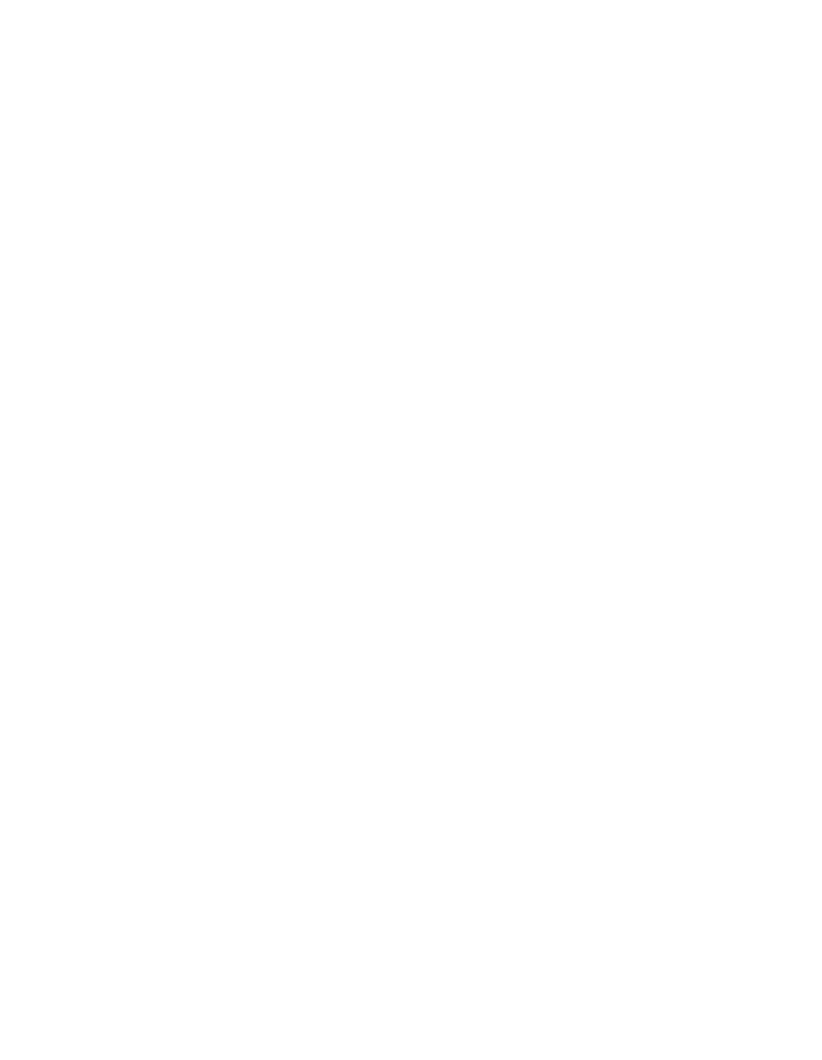Cutout portion 44 defines a concave track 52 along its length. Concave track 52 is continuous with lumen 50.

Tapered inner catheter 14 may also include clip 54 at a proximal end thereof to releasably join tapered inner catheter 14 to coaxial guide catheter 12. Thus, tapered inner catheter 5 14 is keyed to coaxial guide catheter 12.

Coaxial guide catheter 12 may include, starting at its distal end, a first portion having a flexural modulus of about 13,000 PSI plus or minus 5000 PSI, a second portion having a flexural modulus of about 29,000 PSI plus or minus 10,000 PSI, 10 a third portion having a flexural modulus of about 49,000 PSI plus or minus 10,000 PSI and a fourth portion having a flexural modulus of about 107,000 PSI plus or minus 20,000 PSI. Coaxial guide catheter 12 may be formed, for example, of 4033 Pebax® at bump tip 22 for the first 0.1 cm. This 15 portion may followed by a section about three cm long of 5533 Pebax® that covers marker band 24 and the distal portion of braid or coil reinforcement 32. Next may come an approximately five cm portion of 6333 Pebax® which encloses part of braid or coil reinforcement 32 followed by an 20 rigid portion 20 and reinforced portion 18. First group 72 of approximately twenty seven cm portion of 7233 Pebax® covering the most proximal portion of braid or coil reinforcement 32. Braid or coil reinforcement 32 is bonded to rigid portion 20 which may be formed from stainless steel or a similar biocompatible material. Rigid portion 20 may extend 25 for approximately ninety cm and include first full circumference portion 34 (approximately 0.25 cm), hemicylindrical portion 36 (approximately seventy five cm), arcuate portion (approximately fifteen cm) and second full circumference portion (approximately three cm.) Rigid portion 20 may be 30 formed from a stainless steel or Nitinol hypo tube.

FIG. 7 depicts a typical guide catheter 56 passing through aortic arch 58 into ostium 60 of coronary artery 62. FIG. 7 also depicts guidewire 64 passing through the guide catheter 56 and into coronary artery 62. Located in coronary artery 62 35 is stenotic lesion 66. In a typical procedure, guidewire 64 is placed through the aortic arch 58 and into the ostium 60 of the coronary artery. 62. The guide catheter 56 is passed over guidewire 64 until distal end 68 of guide catheter 56 is seated in ostium 60 of coronary artery 62. Force is then applied to the  $\frac{40}{2}$ guidewire 64 to push guidewire 64 past stenotic lesion 66 or an occlusive lesion (not shown). Once the guidewire 64 is pushed past stenotic lesion 66 or occlusive lesion (not shown), a treating catheter including a stent or balloon can be passed along the guidewire to stenotic lesion 66 or occlusive 45 lesion (not shown). The lesion can then be treated.

As can be seen in phantom, in FIG. 7, the application of force to guidewire 64 can cause guide catheter 56 to dislodge from ostium 60 of coronary artery 62. This can occur in the case of a tough stenotic lesion 66 or occlusive lesion (not 50 shown) when it is difficult to pass the guidewire 64 beyond the stenotic lesion 66 or occlusive lesion (not shown).

Referring the FIG. 8 coaxial guide catheter 12 is depicted as used with guide catheter 56, guidewire 64, and tapered inner catheter 14. Here, coaxial guide catheter 12 with 55 tapered inner catheter 14 is passed through guide catheter 56 and over guidewire 64 into coronary artery 62 after the guide catheter 56 has been placed in the ostium 60 of coronary artery 62, as depicted in FIG. 7. Coaxial guide catheter 12, with tapered inner catheter 14, provide an inner support mem- 60 ber for proper translation over guidewire 64. Tapered inner catheter tip 42 provides a distal tapered transition from guidewire 64 to coaxial guide catheter 12. Once coaxial guide catheter 12 is in place, tapered inner catheter 14 is removed from the inside of coaxial guide catheter 12. 65

Coaxial guide catheter 12 is now ready to accept a treatment catheter such as a stent or balloon catheter. Referring to FIG. 9, the combination of guide catheter 56 with coaxial guide catheter 12 inserted into ostium 60 of coronary artery 62 provides improved distal anchoring of guide catheter 56 and coaxial guide catheter 12. The presence of coaxial guide catheter 12 within guide catheter 56 also provides stiffer back up support than guide catheter 56 alone. The combination of improved distal anchoring and stiffening of the guide catheter 56/coaxial guide catheter 12 combination provides additional back up support to resist dislodging of guide catheter 56 from ostium 60 when force is applied to guidewire 64 to pass through stenotic lesion 66 or another lesion. In addition, the improved back up support assists in the positioning of a treating catheter that may include a stent or balloon.

Referring to FIGS. 10 and 11, in some embodiments of coaxial guide catheter 12, rigid portion 20 may be perforated by relief cuts 70. Relief cuts 70 may be classed into first group 72 and second group 74.

First group 72 may be located near to the juncture between relief cuts 70 are relatively closely spaced. For example, first group 72 of relief cuts 70 may be spaced approximately 0.010 inches apart. First group 72 of relief cuts 70 extends for a relatively short distance, for example, approximately 2 inches.

Second group 74 of relief cuts 70 may extend for a relatively long distance, for example, approximately 30-35 inches. Second group 74 of relief cuts 70 are spaced farther apart than first group 72. For example, relief cuts 70 of second group 74 may be spaced approximately 0.020 inches between cuts. Referring particularly to FIG. 11, relief cuts 70 may include single cuts 76 and double cuts 78. Single cuts 76 may include an individual linear cut, as can be seen in FIG. 11. Double cuts 78 may include two linear cuts along a single line but separated by a short section of uncut structure. Typically, single cuts 76 and double cuts 78 are alternated along the length of rigid portion 20. Generally, the overall length of single cut 76 may be less than the overall length of two double cuts 78

In an embodiment depicted in FIGS. 12-15, rigid portion includes full circumference portion  $80$ , greater than  $180^\circ$ portion 82, and less than 180° portion 84. Greater than 180° portion 82 may, for example, include structure forming approximately 300° of the circumference of the cylinder. Less than 180° portion may include, for example, structure forming approximately 90° of the circumference of a cylinder. Greater than  $180^\circ$  portion 82 may extend approximately 22-25 inches. Greater than  $180^\circ$  portion 82 holds tapered inner catheter 14 within rigid portion 20.

When tapered inner catheter is inserted into coaxial guide catheter 12 greater than 180° portion 82 grips tapered inner catheter 14 which is exposed through the opening in greater than  $180^\circ$  portion 82. Thus, the overall structure of tapered inner catheter 14 along with greater than  $180^\circ$  portion 82 is substantially cylindrical. Accordingly, when inserted through a guide catheter 56 having a Touhey-Borst style adapter, the Touhey-Borst style adapter can still seal around rigid portion 20 and enclosed inner tapered catheter 14.

Referring to FIG. 16, another embodiment of coaxial guide catheter assembly 10 includes coaxial guide catheter 12 and tapered inner catheter 14. Tapered inner catheter 14 is keyed to coaxial guide catheter 12 at hub 86.

Referring to FIGS. 17 and 18, tapered inner catheter 14 generally includes connector hub 88 and catheter tube 90.

Connector hub 88 generally includes connector portion 92, grip portion 94 and joining portion 96. Connector hub 88 defines funnel portion 98 therein.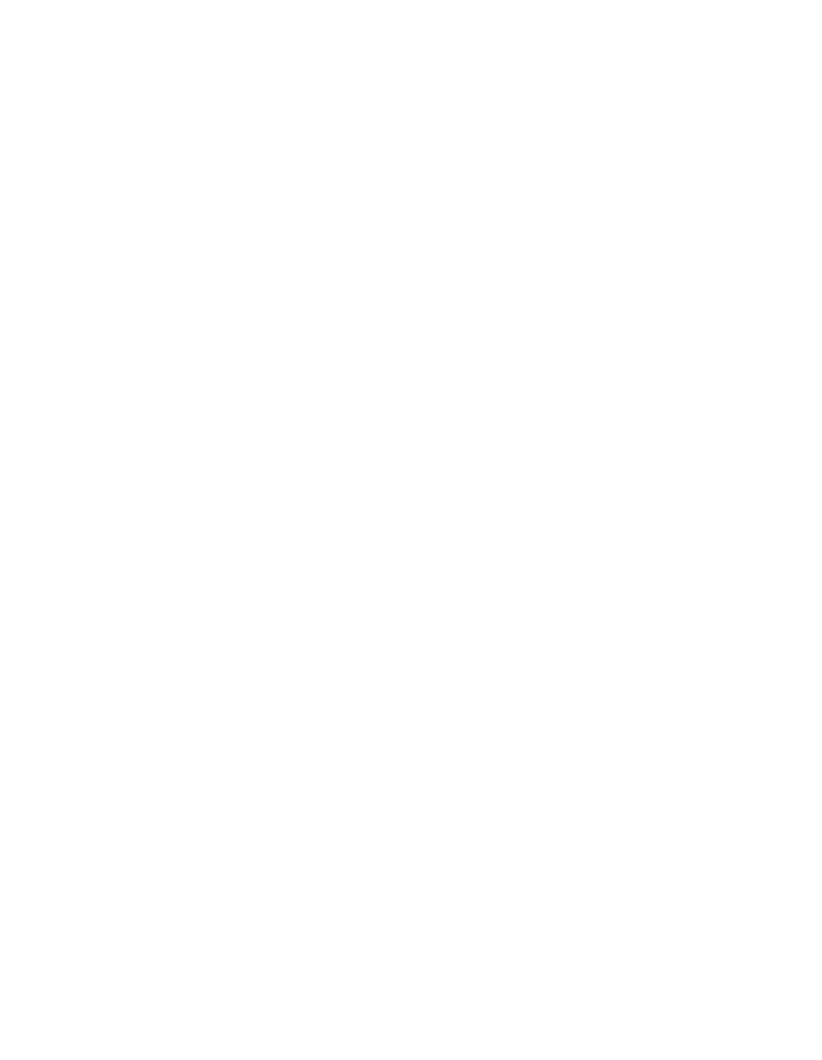Catheter tube 90 generally includes straight portion 100, tapered portion 102 and marker band tip 104. Catheter tube 90 is joined to connector hub 88 at joining portion 96. Tapered inner catheter 14 may be formed in whole or in part from low-density polyethylene plastic, for example. Other suitable 5 materials known to the catheter arts may be used as well.

Grip portion 94 desirably includes gripping ears 106. Gripping ears 106 may extend outwardly from grip portion 94 substantially radially and be shaped for convenient gripping by a physician.

Referring to FIGS. 19 through 21, in this embodiment, coaxial guide catheter 12 includes interrupted hub 108, hemitube portion 110, braided portion 112 and tip portion 114.

Interrupted hub 108 defines an opening 116, along a side thereof. Interrupted hub 108 may be substantially C-shaped or U-shaped in cross section. Opening 116 is sized so that tapered inner catheter 14 may be passed readily therethrough in a direction perpendicular to the long axes of both interrupted hub 108 and tapered inner catheter 14. Hemi-tube  $_{20}$ portion 110 is immediately distal to interrupted hub 108. Hemi-tube portion 110 may be formed, for example, from a metal hypo tube forming approximately 50% of the circumference of a cylinder. Hemi-tube portion 110 is aligned so that opening 116 of interrupted hub 108 is coextensive with open-25 ing 118 of hemi-tube portion 110. Hemi-tube portion 110 is joined to braided portion 112, for example, by adhesive, bonding or welding. The location where hemi-tube portion 110 and braided portion 112 join defines the entire circumference of a cylinder.

Braided portion 112 may be reinforced by a coil or braid, 120. Coil or braid 120 may be formed of metal or another suitable reinforcing material.

Tip portion 114 is generally not reinforced and is substantially soft. Tip portion 114 is similarly structured to tapered 35 inner catheter tip 42. Tip portion 114 may include a radiopaque marker band 24.

Beginning at the distal end of coaxial guide catheter 12, tip portion 114 may be formed substantially of, for example, 2533 Pebax® This may be followed by a section of 3533 40 Pebax®, then by a section of 5533 Pebax®, then by a further section of 7233 Pebax®. These Pebax® portions may all incorporate, for example, about 20% barium sulfate (BaSO<sub>4</sub>).

In one embodiment, tip portion 114 and braided portion 112 may have an overall length together of approximately one 45 hundred nine centimeters. Hemi-tube portion 110 and interrupted hub 108 may together have an overall length of approximately eighteen centimeters.

In this embodiment, coaxial guide catheter 12 may be lined with a PTFE liner 122. 50

In operation, a guide catheter 56 is inserted into a major blood vessel in the body such as aortic arch 58 over guidewire 64 and the distal end 68 of guide catheter 56 is brought into proximity of ostium 60 of a smaller branch blood vessel, such as coronary artery 62, that it is desired to enter. Coaxial guide 55 catheter 12, with tapered inner catheter 14, is inserted through guide catheter 56 and over guidewire 64. Guide catheter 56, guidewire 64, coaxial guide catheter 12, and tapered inner catheter 14 are manipulated to insert tapered inner catheter tip 42 into the ostium 60 of the blood vessel that branches off 60 from the major blood vessel. The bump tip 22 of coaxial guide catheter 12 is inserted with tapered inner catheter tip 42 well into ostium 60 of coronary artery 62 or other blood vessel until bump tip 22 of coaxial guide catheter 12 achieves a deep seated position. Tapered inner catheter 14 is then withdrawn 65 from the lumen of coaxial guide catheter 12. An interventional cardiology treatment device such as a catheter bearing

a stent or a balloon (not shown) is then inserted through the lumen of coaxial guide catheter 12 which remains inside guide catheter 56.

When the interventional cardiology device reaches a stenosis or blockage in coronary artery 62 or another branch blood vessel, force may be applied to the interventional cardiology device catheter while reinforced portion 18 and rigid portion 20 of coaxial guide catheter 12 provide back up support. The back force that would tend to dislodge bump tip 22 from a deep seated position in the ostium in the branch blood vessel is transferred through reinforced portion 18 to rigid portion 20 of coaxial guide catheter 12. A physician may apply a force to the proximal end of the coaxial guide catheter 12 to resist dislodging of bump tip 22 from the ostium of the branch artery.

One advantage of the present invention over prior art approaches is that the present invention does not interfere the injection of fluids via the Y-adapter of guide catheter 56 as does the use of a smaller catheter within a larger catheter.

The present invention may be embodied in other specific forms without departing from the spirit of the essential attributes thereof; therefore, the illustrated embodiments should be considered in all respects as illustrative and not restrictive, reference being made to the appended claims rather than to the foregoing description to indicate the scope of the invention.

What is claimed is:

1. A method of providing backup support for an interventional cardiology device for use in the coronary vasculature, the interventional cardiology device being adapted to be passed through a standard guide catheter, the standard guide catheter having a continuous lumen extending for a predefined length from a proximal end at a hemostatic valve to a distal end adapted to be placed in a branch artery, the continuous lumen of the guide catheter having a circular crosssectional inner diameter sized such that interventional cardiology devices are insertable into and through the lumen, the method comprising:

- inserting the standard guide catheter into a first artery over a guidewire, the standard guide catheter having a distal end:
- positioning the distal end of the standard guide catheter in a branch artery that branches off from the first artery;
- inserting a flexible tip portion of a coaxial guide catheter defining a tubular structure having a circular cross-section and a length that is shorter than the predefined length of the continuous lumen of the standard guide catheter, into the continuous lumen of the standard guide catheter, and,
- further inserting a substantially rigid portion that is proximal of, operably connected to, and more rigid along a longitudinal axis than the flexible tip portion, into the continuous lumen of the standard guide catheter, the substantially rigid portion defining a rail structure without a lumen and having a maximal cross-sectional dimension at a proximal portion that is smaller than the cross-sectional outer diameter of the flexible tip portion and having a length that, when combined with the length of the flexible distal tip portion, defines a total length of the device along the longitudinal axis that is longer than the length of the continuous lumen of the guide catheter; advancing a distal portion of the flexible tip portion distally beyond the distal end of the standard guide catheter and into the second artery such that the distal portion extends into the second artery and such that at least a portion of the proximal portion of the substantially rigid portion extends proximally through the hemostatic valve; and